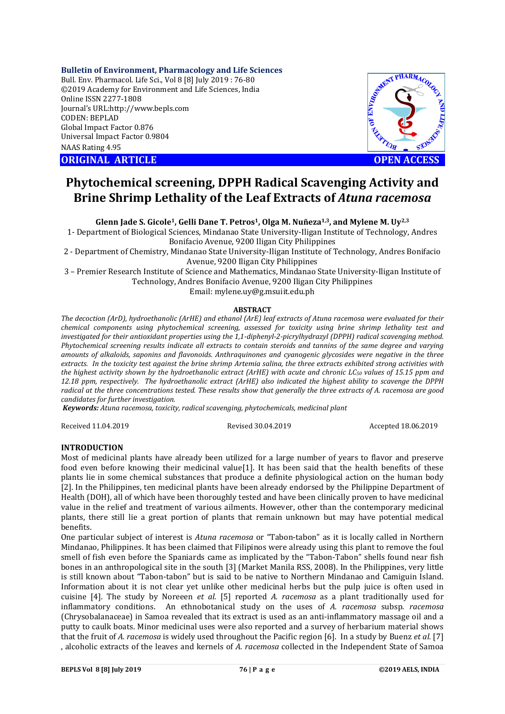## **Bulletin of Environment, Pharmacology and Life Sciences**

Bull. Env. Pharmacol. Life Sci., Vol 8 [8] July 2019 : 76-80 ©2019 Academy for Environment and Life Sciences, India Online ISSN 2277-1808 Journal's URL:http://www.bepls.com CODEN: BEPLAD Global Impact Factor 0.876 Universal Impact Factor 0.9804 NAAS Rating 4.95

**CORIGINAL ARTICLE CONSUMING ARTICLE CONSUMING ACCESS** 



# **Phytochemical screening, DPPH Radical Scavenging Activity and Brine Shrimp Lethality of the Leaf Extracts of** *Atuna racemosa*

**Glenn Jade S. Gicole1, Gelli Dane T. Petros1, Olga M. Nuñeza1,3, and Mylene M. Uy2,3**

1- Department of Biological Sciences, Mindanao State University-Iligan Institute of Technology, Andres Bonifacio Avenue, 9200 Iligan City Philippines

2 - Department of Chemistry, Mindanao State University-Iligan Institute of Technology, Andres Bonifacio Avenue, 9200 Iligan City Philippines

3 – Premier Research Institute of Science and Mathematics, Mindanao State University-Iligan Institute of Technology, Andres Bonifacio Avenue, 9200 Iligan City Philippines Email: mylene.uy@g.msuiit.edu.ph

#### **ABSTRACT**

*The decoction (ArD), hydroethanolic (ArHE) and ethanol (ArE) leaf extracts of Atuna racemosa were evaluated for their chemical components using phytochemical screening, assessed for toxicity using brine shrimp lethality test and investigated for their antioxidant properties using the 1,1-diphenyl-2-picrylhydrazyl (DPPH) radical scavenging method. Phytochemical screening results indicate all extracts to contain steroids and tannins of the same degree and varying amounts of alkaloids, saponins and flavonoids. Anthraquinones and cyanogenic glycosides were negative in the three extracts. In the toxicity test against the brine shrimp Artemia salina, the three extracts exhibited strong activities with the highest activity shown by the hydroethanolic extract (ArHE) with acute and chronic LC50 values of 15.15 ppm and 12.18 ppm, respectively. The hydroethanolic extract (ArHE) also indicated the highest ability to scavenge the DPPH radical at the three concentrations tested. These results show that generally the three extracts of A. racemosa are good candidates for further investigation.*

*Keywords: Atuna racemosa, toxicity, radical scavenging, phytochemicals, medicinal plant*

Received 11.04.2019 Revised 30.04.2019 Accepted 18.06.2019

## **INTRODUCTION**

Most of medicinal plants have already been utilized for a large number of years to flavor and preserve food even before knowing their medicinal value[1]. It has been said that the health benefits of these plants lie in some chemical substances that produce a definite physiological action on the human body [2]. In the Philippines, ten medicinal plants have been already endorsed by the Philippine Department of Health (DOH), all of which have been thoroughly tested and have been clinically proven to have medicinal value in the relief and treatment of various ailments. However, other than the contemporary medicinal plants, there still lie a great portion of plants that remain unknown but may have potential medical benefits.

One particular subject of interest is *Atuna racemosa* or "Tabon-tabon" as it is locally called in Northern Mindanao, Philippines. It has been claimed that Filipinos were already using this plant to remove the foul smell of fish even before the Spaniards came as implicated by the "Tabon-Tabon" shells found near fish bones in an anthropological site in the south [3] (Market Manila RSS, 2008). In the Philippines, very little is still known about "Tabon-tabon" but is said to be native to Northern Mindanao and Camiguin Island. Information about it is not clear yet unlike other medicinal herbs but the pulp juice is often used in cuisine [4]. The study by Noreeen *et al.* [5] reported *A. racemosa* as a plant traditionally used for inflammatory conditions. An ethnobotanical study on the uses of *A. racemosa* subsp. *racemosa*  (Chrysobalanaceae) in Samoa revealed that its extract is used as an anti-inflammatory massage oil and a putty to caulk boats. Minor medicinal uses were also reported and a survey of herbarium material shows that the fruit of *A. racemosa* is widely used throughout the Pacific region [6]. In a study by Buenz *et al.* [7] , alcoholic extracts of the leaves and kernels of *A. racemosa* collected in the Independent State of Samoa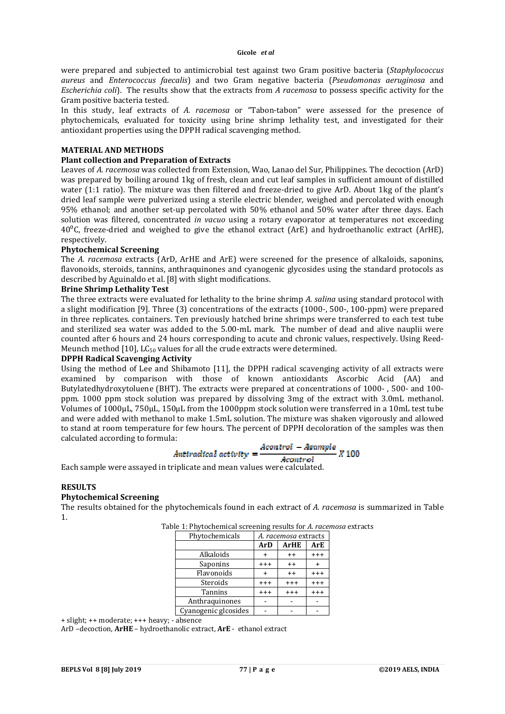were prepared and subjected to antimicrobial test against two Gram positive bacteria (*Staphylococcus aureus* and *Enterococcus faecalis*) and two Gram negative bacteria (*Pseudomonas aeruginosa* and *Escherichia coli*). The results show that the extracts from *A racemosa* to possess specific activity for the Gram positive bacteria tested.

In this study, leaf extracts of *A. racemosa* or "Tabon-tabon" were assessed for the presence of phytochemicals, evaluated for toxicity using brine shrimp lethality test, and investigated for their antioxidant properties using the DPPH radical scavenging method.

## **MATERIAL AND METHODS**

## **Plant collection and Preparation of Extracts**

Leaves of *A. racemosa* was collected from Extension, Wao, Lanao del Sur, Philippines. The decoction (ArD) was prepared by boiling around 1kg of fresh, clean and cut leaf samples in sufficient amount of distilled water (1:1 ratio). The mixture was then filtered and freeze-dried to give ArD. About 1kg of the plant's dried leaf sample were pulverized using a sterile electric blender, weighed and percolated with enough 95% ethanol; and another set-up percolated with 50% ethanol and 50% water after three days. Each solution was filtered, concentrated *in vacuo* using a rotary evaporator at temperatures not exceeding  $40^{\circ}$ C, freeze-dried and weighed to give the ethanol extract (ArE) and hydroethanolic extract (ArHE). respectively.

## **Phytochemical Screening**

The *A. racemosa* extracts (ArD, ArHE and ArE) were screened for the presence of alkaloids, saponins, flavonoids, steroids, tannins, anthraquinones and cyanogenic glycosides using the standard protocols as described by Aguinaldo et al. [8] with slight modifications.

#### **Brine Shrimp Lethality Test**

The three extracts were evaluated for lethality to the brine shrimp *A. salina* using standard protocol with a slight modification [9]. Three (3) concentrations of the extracts (1000-, 500-, 100-ppm) were prepared in three replicates. containers. Ten previously hatched brine shrimps were transferred to each test tube and sterilized sea water was added to the 5.00-mL mark. The number of dead and alive nauplii were counted after 6 hours and 24 hours corresponding to acute and chronic values, respectively. Using Reed-Meunch method  $[10]$ , LC<sub>50</sub> values for all the crude extracts were determined.

#### **DPPH Radical Scavenging Activity**

Using the method of Lee and Shibamoto [11], the DPPH radical scavenging activity of all extracts were examined by comparison with those of known antioxidants Ascorbic Acid (AA) and Butylatedhydroxytoluene (BHT). The extracts were prepared at concentrations of 1000- , 500- and 100 ppm. 1000 ppm stock solution was prepared by dissolving 3mg of the extract with 3.0mL methanol. Volumes of 1000µL, 750µL, 150µL from the 1000ppm stock solution were transferred in a 10mL test tube and were added with methanol to make 1.5mL solution. The mixture was shaken vigorously and allowed to stand at room temperature for few hours. The percent of DPPH decoloration of the samples was then calculated according to formula:

$$
Antiradical activity = \frac{Acontrol - Asample}{X 100}
$$

$$
A control
$$

Each sample were assayed in triplicate and mean values were calculated.

#### **RESULTS**

## **Phytochemical Screening**

The results obtained for the phytochemicals found in each extract of *A. racemosa* is summarized in Table 1.

| Phytochemicals       | A. racemosa extracts |             |            |
|----------------------|----------------------|-------------|------------|
|                      | <b>ArD</b>           | <b>ArHE</b> | <b>ArE</b> |
| Alkaloids            |                      | $++$        | $+++$      |
| Saponins             | $+++$                | $++$        |            |
| Flavonoids           |                      | $++$        | $+++$      |
| Steroids             | $^{+++}$             | $+++$       | $+++$      |
| <b>Tannins</b>       | $^{+++}$             | $+++$       | $+++$      |
| Anthraguinones       |                      |             |            |
| Cyanogenic glcosides |                      |             |            |

Table 1: Phytochemical screening results for *A. racemosa* extracts

+ slight; ++ moderate; +++ heavy; - absence

ArD –decoction, **ArHE** – hydroethanolic extract, **ArE** - ethanol extract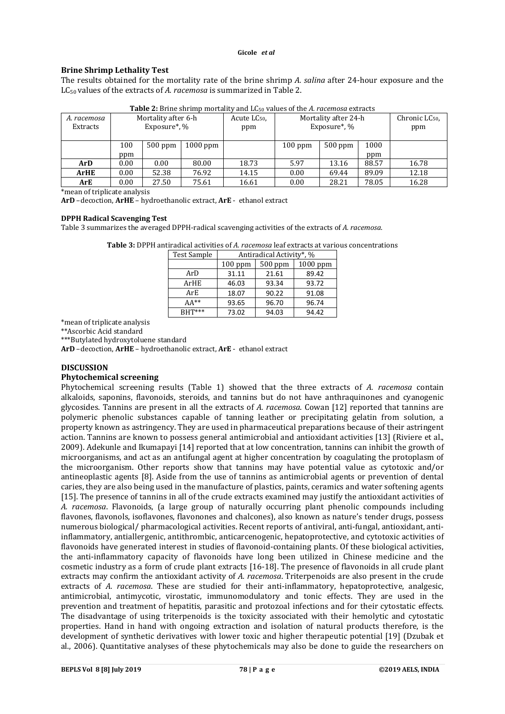#### **Gicole** *et al*

## **Brine Shrimp Lethality Test**

The results obtained for the mortality rate of the brine shrimp *A. salina* after 24-hour exposure and the LC50 values of the extracts of *A. racemosa* is summarized in Table 2.

| A. racemosa<br>Extracts | Mortality after 6-h<br>Exposure <sup>*</sup> , % |           | Acute LC <sub>50</sub> ,<br>ppm | <b>TWOTO IT</b> DITIIV SHITING HIGH WILLY WHAT DOIN VALUES OF THE INTRODUCTION CATEGORY<br>Mortality after 24-h<br>Exposure*, % |           | Chronic LC <sub>50</sub><br>ppm |       |       |
|-------------------------|--------------------------------------------------|-----------|---------------------------------|---------------------------------------------------------------------------------------------------------------------------------|-----------|---------------------------------|-------|-------|
|                         |                                                  |           |                                 |                                                                                                                                 |           |                                 |       |       |
|                         | 100                                              | $500$ ppm | $1000$ ppm                      |                                                                                                                                 | $100$ ppm | $500$ ppm                       | 1000  |       |
|                         | ppm                                              |           |                                 |                                                                                                                                 |           |                                 | ppm   |       |
| ArD                     | 0.00                                             | 0.00      | 80.00                           | 18.73                                                                                                                           | 5.97      | 13.16                           | 88.57 | 16.78 |
| <b>ArHE</b>             | 0.00                                             | 52.38     | 76.92                           | 14.15                                                                                                                           | 0.00      | 69.44                           | 89.09 | 12.18 |
| ArE                     | 0.00                                             | 27.50     | 75.61                           | 16.61                                                                                                                           | 0.00      | 28.21                           | 78.05 | 16.28 |

**Table 2:** Brine shrimp mortality and LC50 values of the *A. racemosa* extracts

\*mean of triplicate analysis

**ArD** –decoction, **ArHE** – hydroethanolic extract, **ArE** - ethanol extract

## **DPPH Radical Scavenging Test**

Table 3 summarizes the averaged DPPH-radical scavenging activities of the extracts of *A. racemosa*.

|               | <b>Table 3:</b> DPPH antiradical activities of A. <i>racemosa</i> leaf extracts at various concentrations |  |
|---------------|-----------------------------------------------------------------------------------------------------------|--|
| l Test Sample | Antiradical Activity*, %                                                                                  |  |

| <b>Test Sample</b> | Antiradical Activity*, % |         |          |  |
|--------------------|--------------------------|---------|----------|--|
|                    | $100$ ppm                | 500 ppm | 1000 ppm |  |
| ArD                | 31.11                    | 21.61   | 89.42    |  |
| ArHE               | 46.03                    | 93.34   | 93.72    |  |
| ArE                | 18.07                    | 90.22   | 91.08    |  |
| $AA^{**}$          | 93.65                    | 96.70   | 96.74    |  |
| $BHT***$           | 73.02                    | 94.03   | 94.42    |  |

\*mean of triplicate analysis

\*\*Ascorbic Acid standard

\*\*\*Butylated hydroxytoluene standard

**ArD** –decoction, **ArHE** – hydroethanolic extract, **ArE** - ethanol extract

## **DISCUSSION**

## **Phytochemical screening**

Phytochemical screening results (Table 1) showed that the three extracts of *A. racemosa* contain alkaloids, saponins, flavonoids, steroids, and tannins but do not have anthraquinones and cyanogenic glycosides. Tannins are present in all the extracts of *A. racemosa*. Cowan [12] reported that tannins are polymeric phenolic substances capable of tanning leather or precipitating gelatin from solution, a property known as astringency. They are used in pharmaceutical preparations because of their astringent action. Tannins are known to possess general antimicrobial and antioxidant activities [13] (Riviere et al., 2009). Adekunle and Ikumapayi [14] reported that at low concentration, tannins can inhibit the growth of microorganisms, and act as an antifungal agent at higher concentration by coagulating the protoplasm of the microorganism. Other reports show that tannins may have potential value as cytotoxic and/or antineoplastic agents [8]. Aside from the use of tannins as antimicrobial agents or prevention of dental caries, they are also being used in the manufacture of plastics, paints, ceramics and water softening agents [15]. The presence of tannins in all of the crude extracts examined may justify the antioxidant activities of *A. racemosa*. Flavonoids, (a large group of naturally occurring plant phenolic compounds including flavones, flavonols, isoflavones, flavonones and chalcones), also known as nature's tender drugs, possess numerous biological/ pharmacological activities. Recent reports of antiviral, anti-fungal, antioxidant, antiinflammatory, antiallergenic, antithrombic, anticarcenogenic, hepatoprotective, and cytotoxic activities of flavonoids have generated interest in studies of flavonoid-containing plants. Of these biological activities, the anti-inflammatory capacity of flavonoids have long been utilized in Chinese medicine and the cosmetic industry as a form of crude plant extracts [16-18]. The presence of flavonoids in all crude plant extracts may confirm the antioxidant activity of *A. racemosa*. Triterpenoids are also present in the crude extracts of *A. racemosa*. These are studied for their anti-inflammatory, hepatoprotective, analgesic, antimicrobial, antimycotic, virostatic, immunomodulatory and tonic effects. They are used in the prevention and treatment of hepatitis, parasitic and protozoal infections and for their cytostatic effects. The disadvantage of using triterpenoids is the toxicity associated with their hemolytic and cytostatic properties. Hand in hand with ongoing extraction and isolation of natural products therefore, is the development of synthetic derivatives with lower toxic and higher therapeutic potential [19] (Dzubak et al., 2006). Quantitative analyses of these phytochemicals may also be done to guide the researchers on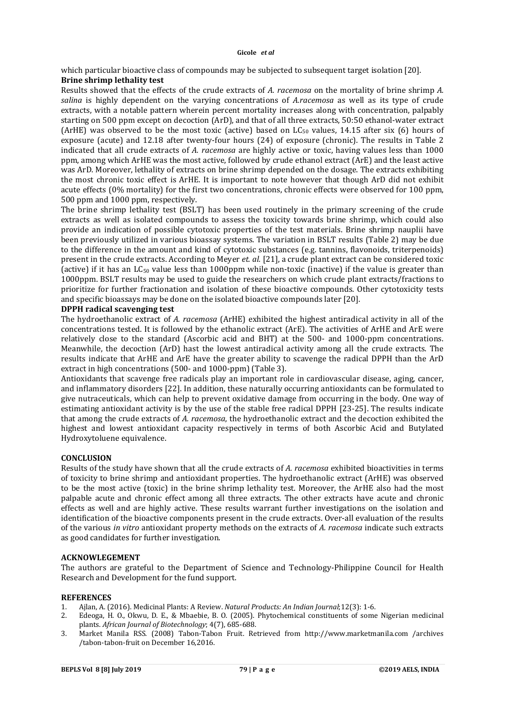which particular bioactive class of compounds may be subjected to subsequent target isolation [20].

# **Brine shrimp lethality test**

Results showed that the effects of the crude extracts of *A. racemosa* on the mortality of brine shrimp *A. salina* is highly dependent on the varying concentrations of *A.racemosa* as well as its type of crude extracts, with a notable pattern wherein percent mortality increases along with concentration, palpably starting on 500 ppm except on decoction (ArD), and that of all three extracts, 50:50 ethanol-water extract (ArHE) was observed to be the most toxic (active) based on  $LC_{50}$  values, 14.15 after six (6) hours of exposure (acute) and 12.18 after twenty-four hours (24) of exposure (chronic). The results in Table 2 indicated that all crude extracts of *A. racemosa* are highly active or toxic, having values less than 1000 ppm, among which ArHE was the most active, followed by crude ethanol extract (ArE) and the least active was ArD. Moreover, lethality of extracts on brine shrimp depended on the dosage. The extracts exhibiting the most chronic toxic effect is ArHE. It is important to note however that though ArD did not exhibit acute effects (0% mortality) for the first two concentrations, chronic effects were observed for 100 ppm, 500 ppm and 1000 ppm, respectively.

The brine shrimp lethality test (BSLT) has been used routinely in the primary screening of the crude extracts as well as isolated compounds to assess the toxicity towards brine shrimp, which could also provide an indication of possible cytotoxic properties of the test materials. Brine shrimp nauplii have been previously utilized in various bioassay systems. The variation in BSLT results (Table 2) may be due to the difference in the amount and kind of cytotoxic substances (e.g. tannins, flavonoids, triterpenoids) present in the crude extracts. According to Meyer *et. al.* [21], a crude plant extract can be considered toxic (active) if it has an  $LC_{50}$  value less than 1000ppm while non-toxic (inactive) if the value is greater than 1000ppm. BSLT results may be used to guide the researchers on which crude plant extracts/fractions to prioritize for further fractionation and isolation of these bioactive compounds. Other cytotoxicity tests and specific bioassays may be done on the isolated bioactive compounds later [20].

## **DPPH radical scavenging test**

The hydroethanolic extract of *A. racemosa* (ArHE) exhibited the highest antiradical activity in all of the concentrations tested. It is followed by the ethanolic extract (ArE). The activities of ArHE and ArE were relatively close to the standard (Ascorbic acid and BHT) at the 500- and 1000-ppm concentrations. Meanwhile, the decoction (ArD) hast the lowest antiradical activity among all the crude extracts. The results indicate that ArHE and ArE have the greater ability to scavenge the radical DPPH than the ArD extract in high concentrations (500- and 1000-ppm) (Table 3).

Antioxidants that scavenge free radicals play an important role in cardiovascular disease, aging, cancer, and inflammatory disorders [22]. In addition, these naturally occurring antioxidants can be formulated to give nutraceuticals, which can help to prevent oxidative damage from occurring in the body. One way of estimating antioxidant activity is by the use of the stable free radical DPPH [23-25]. The results indicate that among the crude extracts of *A. racemosa*, the hydroethanolic extract and the decoction exhibited the highest and lowest antioxidant capacity respectively in terms of both Ascorbic Acid and Butylated Hydroxytoluene equivalence.

# **CONCLUSION**

Results of the study have shown that all the crude extracts of *A. racemosa* exhibited bioactivities in terms of toxicity to brine shrimp and antioxidant properties. The hydroethanolic extract (ArHE) was observed to be the most active (toxic) in the brine shrimp lethality test. Moreover, the ArHE also had the most palpable acute and chronic effect among all three extracts. The other extracts have acute and chronic effects as well and are highly active. These results warrant further investigations on the isolation and identification of the bioactive components present in the crude extracts. Over-all evaluation of the results of the various *in vitro* antioxidant property methods on the extracts of *A. racemosa* indicate such extracts as good candidates for further investigation.

# **ACKNOWLEGEMENT**

The authors are grateful to the Department of Science and Technology-Philippine Council for Health Research and Development for the fund support.

## **REFERENCES**

- 1. Ajlan, A. (2016). Medicinal Plants: A Review. *Natural Products: An Indian Journal*;12(3): 1-6.
- 2. Edeoga, H. O., Okwu, D. E., & Mbaebie, B. O. (2005). Phytochemical constituents of some Nigerian medicinal plants. *African Journal of Biotechnology*; 4(7), 685-688.
- 3. Market Manila RSS. (2008) Tabon-Tabon Fruit. Retrieved from http://www.marketmanila.com /archives /tabon-tabon-fruit on December 16,2016.